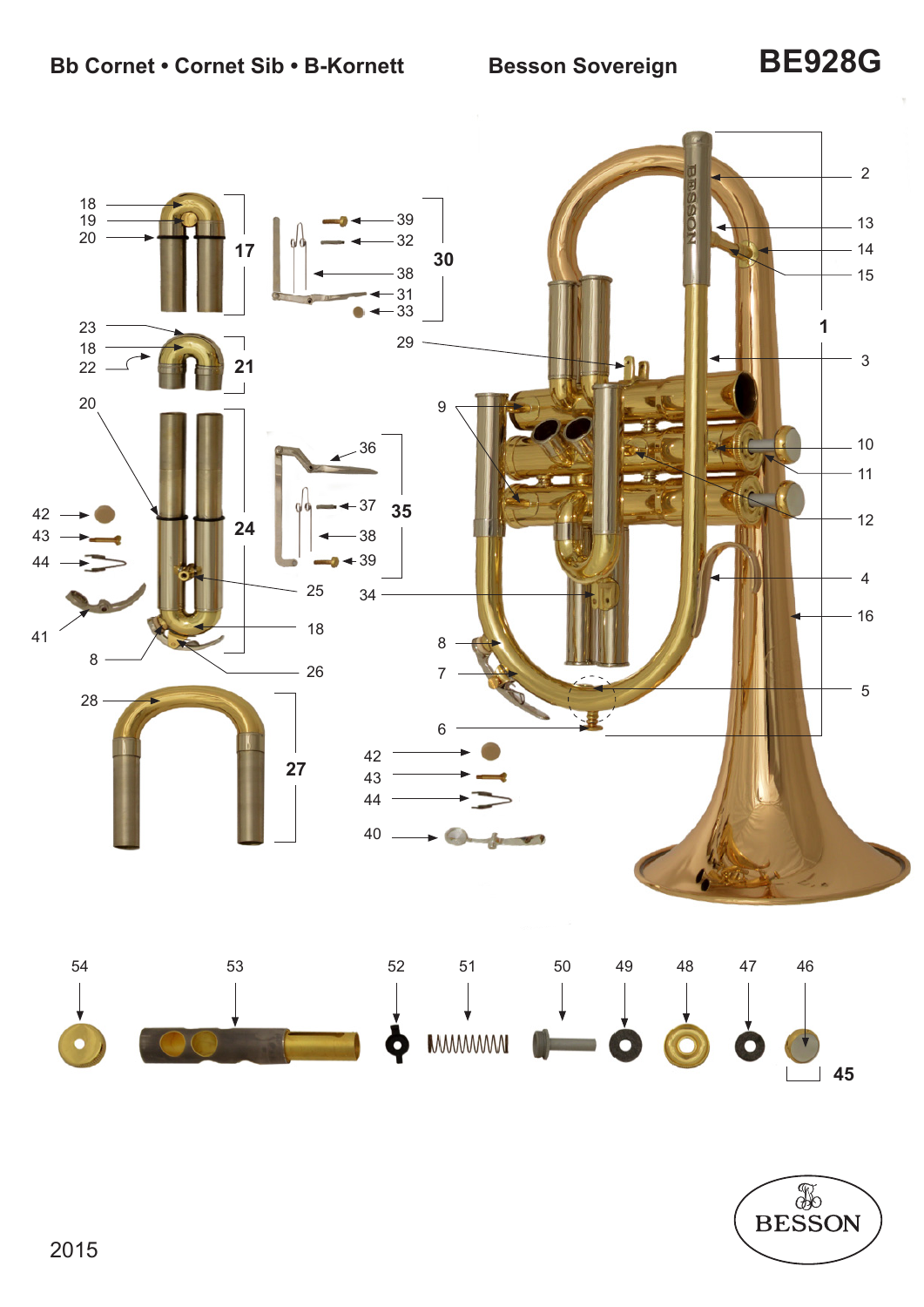

![](_page_0_Picture_4.jpeg)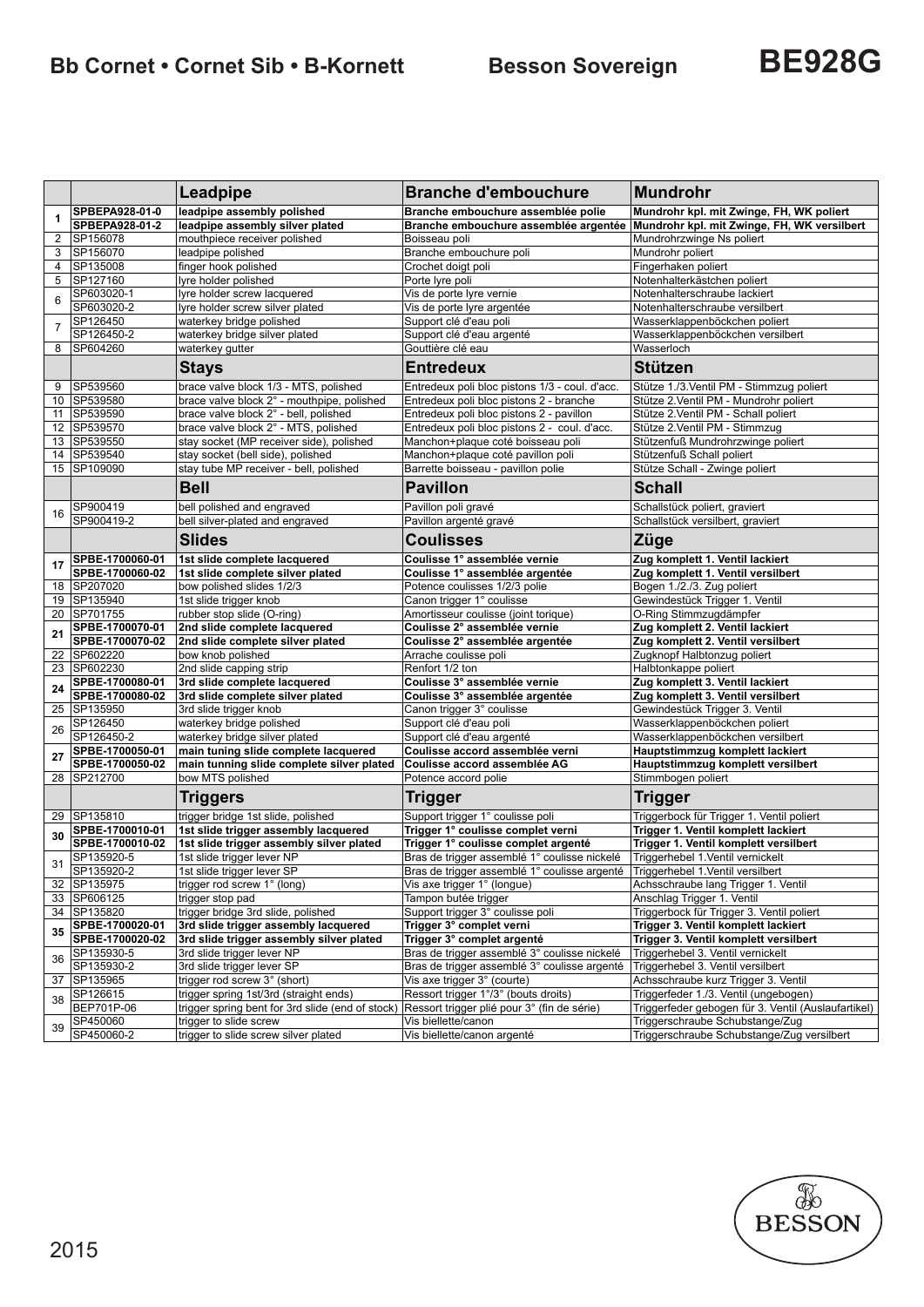# **Bb Cornet • Cornet Sib • B-Kornett Besson Sovereign BE928G**

|                |                 | Leadpipe                                         | <b>Branche d'embouchure</b>                                                   | <b>Mundrohr</b>                                     |
|----------------|-----------------|--------------------------------------------------|-------------------------------------------------------------------------------|-----------------------------------------------------|
| 1              | SPBEPA928-01-0  | leadpipe assembly polished                       | Branche embouchure assemblée polie                                            | Mundrohr kpl. mit Zwinge, FH, WK poliert            |
|                | SPBEPA928-01-2  | leadpipe assembly silver plated                  | Branche embouchure assemblée argentée                                         | Mundrohr kpl. mit Zwinge, FH, WK versilbert         |
| 2              | SP156078        | mouthpiece receiver polished                     | Boisseau poli                                                                 | Mundrohrzwinge Ns poliert                           |
| 3              | SP156070        | leadpipe polished                                | Branche embouchure poli                                                       | Mundrohr poliert                                    |
| 4              | SP135008        | finger hook polished                             | Crochet doigt poli                                                            | Fingerhaken poliert                                 |
| 5              | SP127160        | lyre holder polished                             | Porte lyre poli                                                               | Notenhalterkästchen poliert                         |
| 6              | SP603020-1      | lyre holder screw lacquered                      | Vis de porte lyre vernie                                                      | Notenhalterschraube lackiert                        |
|                | SP603020-2      | lyre holder screw silver plated                  | Vis de porte lyre argentée                                                    | Notenhalterschraube versilbert                      |
| $\overline{7}$ | SP126450        | waterkey bridge polished                         | Support clé d'eau poli                                                        | Wasserklappenböckchen poliert                       |
|                | SP126450-2      | waterkey bridge silver plated                    | Support clé d'eau argenté                                                     | Wasserklappenböckchen versilbert                    |
| 8              | SP604260        | waterkey qutter                                  | Gouttière clé eau                                                             | Wasserloch                                          |
|                |                 | <b>Stays</b>                                     | Entredeux                                                                     | <b>Stützen</b>                                      |
| 9              | SP539560        | brace valve block 1/3 - MTS, polished            | Entredeux poli bloc pistons 1/3 - coul. d'acc.                                | Stütze 1./3. Ventil PM - Stimmzug poliert           |
| 10             | SP539580        | brace valve block 2° - mouthpipe, polished       | Entredeux poli bloc pistons 2 - branche                                       | Stütze 2. Ventil PM - Mundrohr poliert              |
| 11             | SP539590        | brace valve block 2° - bell, polished            | Entredeux poli bloc pistons 2 - pavillon                                      | Stütze 2.Ventil PM - Schall poliert                 |
|                | 12 SP539570     | brace valve block 2° - MTS, polished             | Entredeux poli bloc pistons 2 - coul. d'acc.                                  | Stütze 2. Ventil PM - Stimmzug                      |
|                | 13 SP539550     | stay socket (MP receiver side), polished         | Manchon+plaque coté boisseau poli                                             | Stützenfuß Mundrohrzwinge poliert                   |
|                | 14 SP539540     | stay socket (bell side), polished                | Manchon+plaque coté pavillon poli                                             | Stützenfuß Schall poliert                           |
| 15             | SP109090        | stay tube MP receiver - bell, polished           | Barrette boisseau - pavillon polie                                            | Stütze Schall - Zwinge poliert                      |
|                |                 | <b>Bell</b>                                      | Pavillon                                                                      | <b>Schall</b>                                       |
| 16             | SP900419        | bell polished and engraved                       | Pavillon poli gravé                                                           | Schallstück poliert, graviert                       |
|                | SP900419-2      | bell silver-plated and engraved                  | Pavillon argenté gravé                                                        | Schallstück versilbert, graviert                    |
|                |                 | <b>Slides</b>                                    | <b>Coulisses</b>                                                              | Züge                                                |
| 17             | SPBE-1700060-01 | 1st slide complete lacquered                     | Coulisse 1° assemblée vernie                                                  | Zug komplett 1. Ventil lackiert                     |
|                | SPBE-1700060-02 | 1st slide complete silver plated                 | Coulisse 1° assemblée argentée                                                | Zug komplett 1. Ventil versilbert                   |
|                | 18 SP207020     | bow polished slides 1/2/3                        | Potence coulisses 1/2/3 polie                                                 | Bogen 1./2./3. Zug poliert                          |
| 19             | SP135940        | 1st slide trigger knob                           | Canon trigger 1° coulisse                                                     | Gewindestück Trigger 1. Ventil                      |
|                | 20 SP701755     | rubber stop slide (O-ring)                       | Amortisseur coulisse (joint torique)                                          | O-Ring Stimmzugdämpfer                              |
| 21             | SPBE-1700070-01 | 2nd slide complete lacquered                     | Coulisse 2° assemblée vernie                                                  | Zug komplett 2. Ventil lackiert                     |
|                | SPBE-1700070-02 | 2nd slide complete silver plated                 | Coulisse 2° assemblée argentée                                                | Zug komplett 2. Ventil versilbert                   |
| 22             | SP602220        | bow knob polished                                | Arrache coulisse poli                                                         | Zugknopf Halbtonzug poliert                         |
|                | 23 SP602230     | 2nd slide capping strip                          | Renfort 1/2 ton                                                               | Halbtonkappe poliert                                |
| 24             | SPBE-1700080-01 | 3rd slide complete lacquered                     | Coulisse 3° assemblée vernie                                                  | Zug komplett 3. Ventil lackiert                     |
|                | SPBE-1700080-02 | 3rd slide complete silver plated                 | Coulisse 3° assemblée argentée                                                | Zug komplett 3. Ventil versilbert                   |
|                | 25   SP135950   | 3rd slide trigger knob                           | Canon trigger 3° coulisse                                                     | Gewindestück Trigger 3. Ventil                      |
| 26             | SP126450        | waterkey bridge polished                         | Support clé d'eau poli                                                        | Wasserklappenböckchen poliert                       |
|                | SP126450-2      | waterkey bridge silver plated                    | Support clé d'eau argenté                                                     | Wasserklappenböckchen versilbert                    |
| 27             | SPBE-1700050-01 | main tuning slide complete lacquered             | Coulisse accord assemblée verni                                               | Hauptstimmzug komplett lackiert                     |
|                | SPBE-1700050-02 | main tunning slide complete silver plated        | Coulisse accord assemblée AG                                                  | Hauptstimmzug komplett versilbert                   |
| 28             | SP212700        | bow MTS polished                                 | Potence accord polie                                                          | Stimmbogen poliert                                  |
|                |                 | <b>Triggers</b>                                  | <b>Trigger</b>                                                                | <b>Trigger</b>                                      |
| 29             | SP135810        | trigger bridge 1st slide, polished               | Support trigger 1° coulisse poli                                              | Triggerbock für Trigger 1. Ventil poliert           |
| 30             | SPBE-1700010-01 | 1st slide trigger assembly lacquered             | Trigger 1° coulisse complet verni                                             | Trigger 1. Ventil komplett lackiert                 |
|                | SPBE-1700010-02 | 1st slide trigger assembly silver plated         | Trigger 1° coulisse complet argenté                                           | Trigger 1. Ventil komplett versilbert               |
| 31             | SP135920-5      | 1st slide trigger lever NP                       | Bras de trigger assemblé 1° coulisse nickelé                                  | Triggerhebel 1.Ventil vernickelt                    |
|                | SP135920-2      | 1st slide trigger lever SP                       | Bras de trigger assemblé 1° coulisse argenté Triggerhebel 1.Ventil versilbert |                                                     |
|                | 32 SP135975     | trigger rod screw 1° (long)                      | Vis axe trigger 1° (longue)                                                   | Achsschraube lang Trigger 1. Ventil                 |
|                | 33 SP606125     | trigger stop pad                                 | Tampon butée trigger                                                          | Anschlag Trigger 1. Ventil                          |
|                | 34 SP135820     | trigger bridge 3rd slide, polished               | Support trigger 3° coulisse poli                                              | Triggerbock für Trigger 3. Ventil poliert           |
| 35             | SPBE-1700020-01 | 3rd slide trigger assembly lacquered             | Trigger 3° complet verni                                                      | Trigger 3. Ventil komplett lackiert                 |
|                | SPBE-1700020-02 | 3rd slide trigger assembly silver plated         | Trigger 3° complet argenté                                                    | Trigger 3. Ventil komplett versilbert               |
| 36             | SP135930-5      | 3rd slide trigger lever NP                       | Bras de trigger assemblé 3° coulisse nickelé                                  | Triggerhebel 3. Ventil vernickelt                   |
|                | SP135930-2      | 3rd slide trigger lever SP                       | Bras de trigger assemblé 3° coulisse argenté                                  | Triggerhebel 3. Ventil versilbert                   |
|                | 37 SP135965     | trigger rod screw 3° (short)                     | Vis axe trigger 3° (courte)                                                   | Achsschraube kurz Trigger 3. Ventil                 |
| 38             | SP126615        | trigger spring 1st/3rd (straight ends)           | Ressort trigger 1°/3° (bouts droits)                                          | Triggerfeder 1./3. Ventil (ungebogen)               |
|                | BEP701P-06      | trigger spring bent for 3rd slide (end of stock) | Ressort trigger plié pour 3° (fin de série)                                   | Triggerfeder gebogen für 3. Ventil (Auslaufartikel) |
| 39             | SP450060        | trigger to slide screw                           | Vis biellette/canon                                                           | Triggerschraube Schubstange/Zug                     |
|                | SP450060-2      | trigger to slide screw silver plated             | Vis biellette/canon argenté                                                   | Triggerschraube Schubstange/Zug versilbert          |

![](_page_1_Picture_4.jpeg)